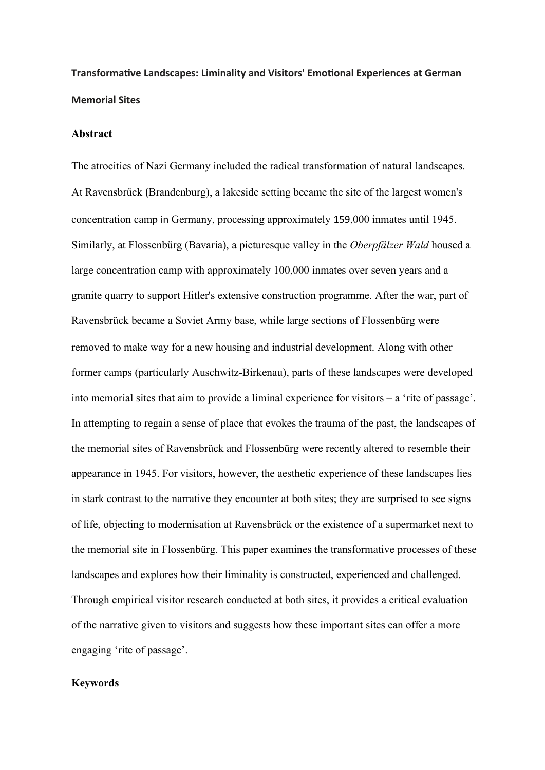**Transformative Landscapes: Liminality and Visitors' Emotional Experiences at German Memorial Sites**

### **Abstract**

The atrocities of Nazi Germany included the radical transformation of natural landscapes. At Ravensbrück (Brandenburg), a lakeside setting became the site of the largest women's concentration camp in Germany, processing approximately 159,000 inmates until 1945. Similarly, at Flossenbürg (Bavaria), a picturesque valley in the *Oberpfälzer Wald* housed a large concentration camp with approximately 100,000 inmates over seven years and a granite quarry to support Hitler's extensive construction programme. After the war, part of Ravensbrück became a Soviet Army base, while large sections of Flossenbürg were removed to make way for a new housing and industrial development. Along with other former camps (particularly Auschwitz-Birkenau), parts of these landscapes were developed into memorial sites that aim to provide a liminal experience for visitors – a 'rite of passage'. In attempting to regain a sense of place that evokes the trauma of the past, the landscapes of the memorial sites of Ravensbrück and Flossenbürg were recently altered to resemble their appearance in 1945. For visitors, however, the aesthetic experience of these landscapes lies in stark contrast to the narrative they encounter at both sites; they are surprised to see signs of life, objecting to modernisation at Ravensbrück or the existence of a supermarket next to the memorial site in Flossenbürg. This paper examines the transformative processes of these landscapes and explores how their liminality is constructed, experienced and challenged. Through empirical visitor research conducted at both sites, it provides a critical evaluation of the narrative given to visitors and suggests how these important sites can offer a more engaging 'rite of passage'.

## **Keywords**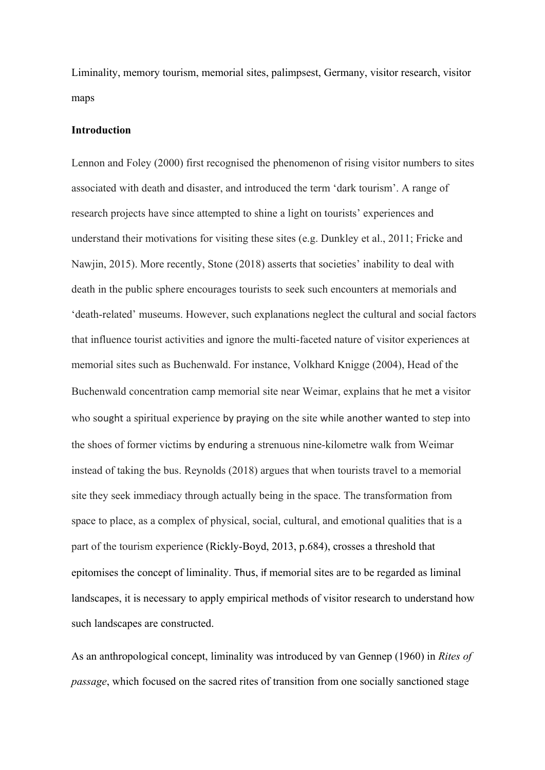Liminality, memory tourism, memorial sites, palimpsest, Germany, visitor research, visitor maps

### **Introduction**

Lennon and Foley (2000) first recognised the phenomenon of rising visitor numbers to sites associated with death and disaster, and introduced the term 'dark tourism'. A range of research projects have since attempted to shine a light on tourists' experiences and understand their motivations for visiting these sites (e.g. Dunkley et al., 2011; Fricke and Nawjin, 2015). More recently, Stone (2018) asserts that societies' inability to deal with death in the public sphere encourages tourists to seek such encounters at memorials and 'death-related' museums. However, such explanations neglect the cultural and social factors that influence tourist activities and ignore the multi-faceted nature of visitor experiences at memorial sites such as Buchenwald. For instance, Volkhard Knigge (2004), Head of the Buchenwald concentration camp memorial site near Weimar, explains that he met a visitor who sought a spiritual experience by praying on the site while another wanted to step into the shoes of former victims by enduring a strenuous nine-kilometre walk from Weimar instead of taking the bus. Reynolds (2018) argues that when tourists travel to a memorial site they seek immediacy through actually being in the space. The transformation from space to place, as a complex of physical, social, cultural, and emotional qualities that is a part of the tourism experience (Rickly-Boyd, 2013, p.684), crosses a threshold that epitomises the concept of liminality. Thus, if memorial sites are to be regarded as liminal landscapes, it is necessary to apply empirical methods of visitor research to understand how such landscapes are constructed.

As an anthropological concept, liminality was introduced by van Gennep (1960) in *Rites of passage*, which focused on the sacred rites of transition from one socially sanctioned stage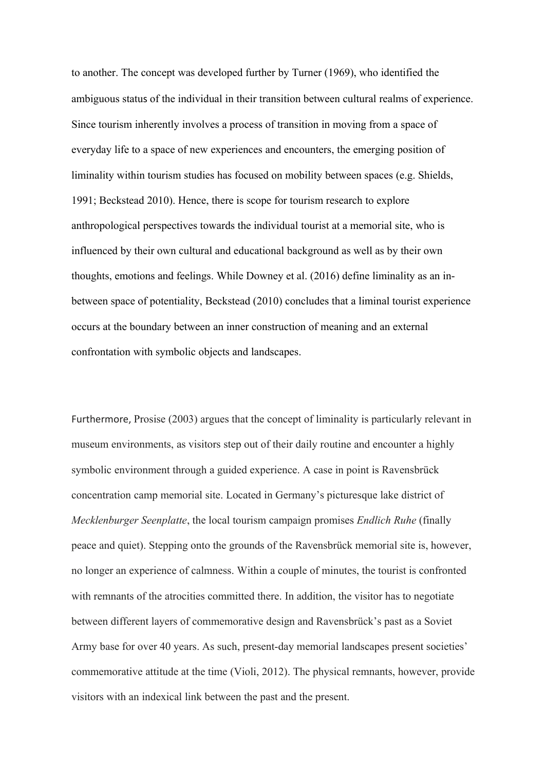to another. The concept was developed further by Turner (1969), who identified the ambiguous status of the individual in their transition between cultural realms of experience. Since tourism inherently involves a process of transition in moving from a space of everyday life to a space of new experiences and encounters, the emerging position of liminality within tourism studies has focused on mobility between spaces (e.g. Shields, 1991; Beckstead 2010). Hence, there is scope for tourism research to explore anthropological perspectives towards the individual tourist at a memorial site, who is influenced by their own cultural and educational background as well as by their own thoughts, emotions and feelings. While Downey et al. (2016) define liminality as an inbetween space of potentiality, Beckstead (2010) concludes that a liminal tourist experience occurs at the boundary between an inner construction of meaning and an external confrontation with symbolic objects and landscapes.

Furthermore, Prosise (2003) argues that the concept of liminality is particularly relevant in museum environments, as visitors step out of their daily routine and encounter a highly symbolic environment through a guided experience. A case in point is Ravensbrück concentration camp memorial site. Located in Germany's picturesque lake district of *Mecklenburger Seenplatte*, the local tourism campaign promises *Endlich Ruhe* (finally peace and quiet). Stepping onto the grounds of the Ravensbrück memorial site is, however, no longer an experience of calmness. Within a couple of minutes, the tourist is confronted with remnants of the atrocities committed there. In addition, the visitor has to negotiate between different layers of commemorative design and Ravensbrück's past as a Soviet Army base for over 40 years. As such, present-day memorial landscapes present societies' commemorative attitude at the time (Violi, 2012). The physical remnants, however, provide visitors with an indexical link between the past and the present.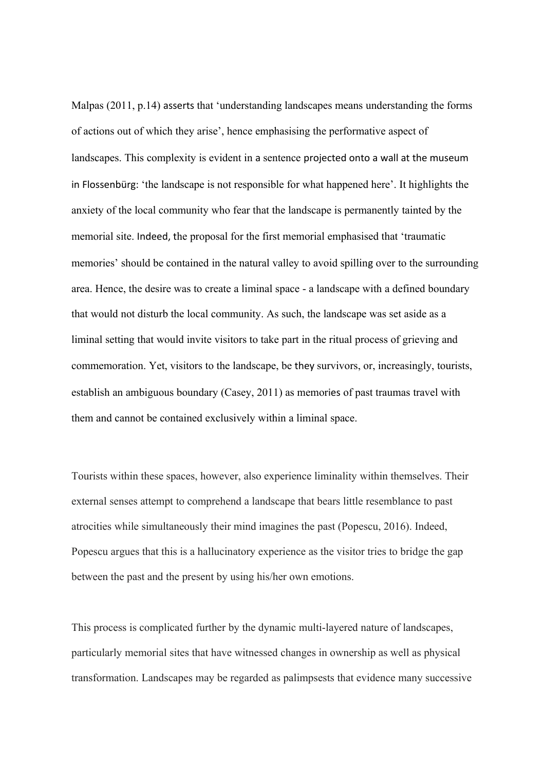Malpas (2011, p.14) asserts that 'understanding landscapes means understanding the forms of actions out of which they arise', hence emphasising the performative aspect of landscapes. This complexity is evident in a sentence projected onto a wall at the museum in Flossenbürg: 'the landscape is not responsible for what happened here'. It highlights the anxiety of the local community who fear that the landscape is permanently tainted by the memorial site. Indeed, the proposal for the first memorial emphasised that 'traumatic memories' should be contained in the natural valley to avoid spilling over to the surrounding area. Hence, the desire was to create a liminal space - a landscape with a defined boundary that would not disturb the local community. As such, the landscape was set aside as a liminal setting that would invite visitors to take part in the ritual process of grieving and commemoration. Yet, visitors to the landscape, be they survivors, or, increasingly, tourists, establish an ambiguous boundary (Casey, 2011) as memories of past traumas travel with them and cannot be contained exclusively within a liminal space.

Tourists within these spaces, however, also experience liminality within themselves. Their external senses attempt to comprehend a landscape that bears little resemblance to past atrocities while simultaneously their mind imagines the past (Popescu, 2016). Indeed, Popescu argues that this is a hallucinatory experience as the visitor tries to bridge the gap between the past and the present by using his/her own emotions.

This process is complicated further by the dynamic multi-layered nature of landscapes, particularly memorial sites that have witnessed changes in ownership as well as physical transformation. Landscapes may be regarded as palimpsests that evidence many successive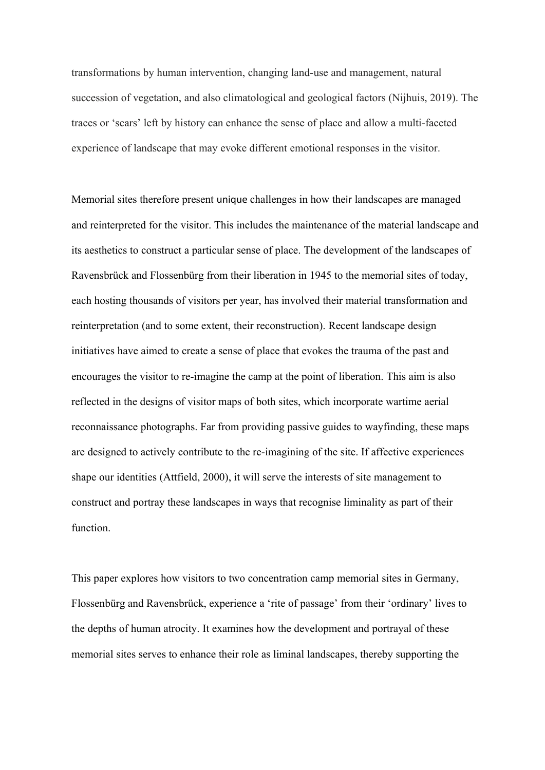transformations by human intervention, changing land-use and management, natural succession of vegetation, and also climatological and geological factors (Nijhuis, 2019). The traces or 'scars' left by history can enhance the sense of place and allow a multi-faceted experience of landscape that may evoke different emotional responses in the visitor.

Memorial sites therefore present unique challenges in how their landscapes are managed and reinterpreted for the visitor. This includes the maintenance of the material landscape and its aesthetics to construct a particular sense of place. The development of the landscapes of Ravensbrück and Flossenbürg from their liberation in 1945 to the memorial sites of today, each hosting thousands of visitors per year, has involved their material transformation and reinterpretation (and to some extent, their reconstruction). Recent landscape design initiatives have aimed to create a sense of place that evokes the trauma of the past and encourages the visitor to re-imagine the camp at the point of liberation. This aim is also reflected in the designs of visitor maps of both sites, which incorporate wartime aerial reconnaissance photographs. Far from providing passive guides to wayfinding, these maps are designed to actively contribute to the re-imagining of the site. If affective experiences shape our identities (Attfield, 2000), it will serve the interests of site management to construct and portray these landscapes in ways that recognise liminality as part of their function.

This paper explores how visitors to two concentration camp memorial sites in Germany, Flossenbürg and Ravensbrück, experience a 'rite of passage' from their 'ordinary' lives to the depths of human atrocity. It examines how the development and portrayal of these memorial sites serves to enhance their role as liminal landscapes, thereby supporting the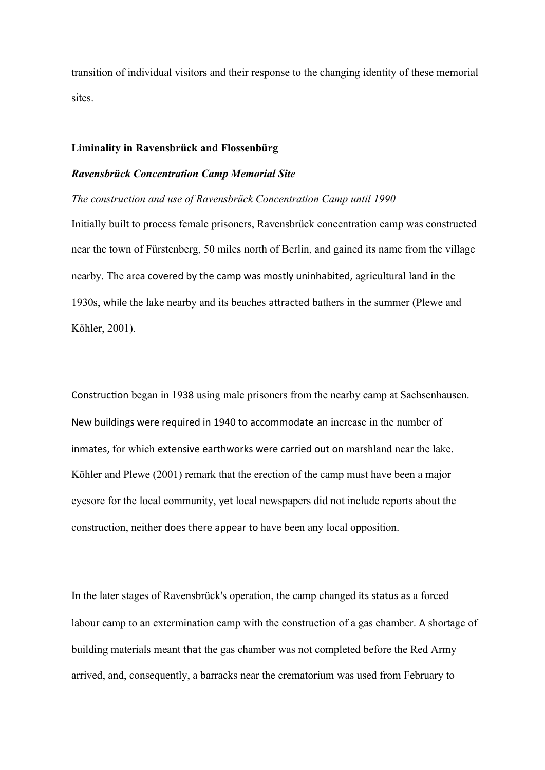transition of individual visitors and their response to the changing identity of these memorial sites.

## **Liminality in Ravensbrück and Flossenbürg**

#### *Ravensbrück Concentration Camp Memorial Site*

*The construction and use of Ravensbrück Concentration Camp until 1990*

Initially built to process female prisoners, Ravensbrück concentration camp was constructed near the town of Fürstenberg, 50 miles north of Berlin, and gained its name from the village nearby. The area covered by the camp was mostly uninhabited, agricultural land in the 1930s, while the lake nearby and its beaches attracted bathers in the summer (Plewe and Köhler, 2001).

Construction began in 1938 using male prisoners from the nearby camp at Sachsenhausen. New buildings were required in 1940 to accommodate an increase in the number of inmates, for which extensive earthworks were carried out on marshland near the lake. Köhler and Plewe (2001) remark that the erection of the camp must have been a major eyesore for the local community, yet local newspapers did not include reports about the construction, neither does there appear to have been any local opposition.

In the later stages of Ravensbrück's operation, the camp changed its status as a forced labour camp to an extermination camp with the construction of a gas chamber. A shortage of building materials meant that the gas chamber was not completed before the Red Army arrived, and, consequently, a barracks near the crematorium was used from February to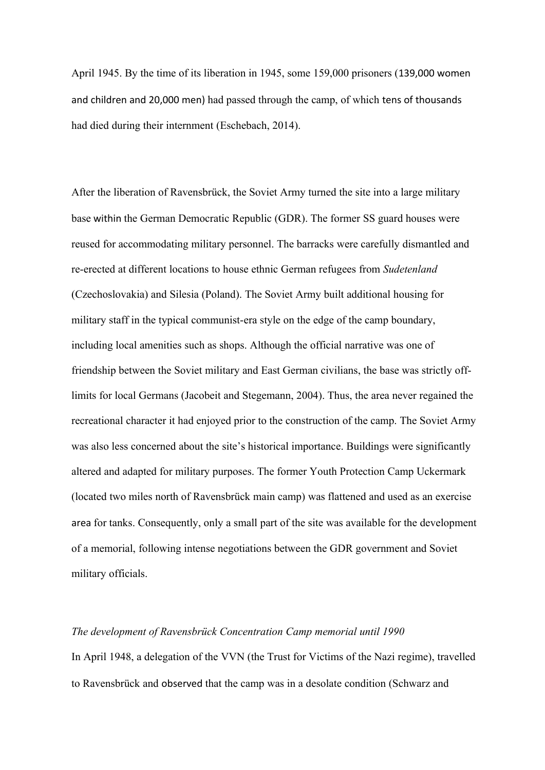April 1945. By the time of its liberation in 1945, some 159,000 prisoners (139,000 women and children and 20,000 men) had passed through the camp, of which tens of thousands had died during their internment (Eschebach, 2014).

After the liberation of Ravensbrück, the Soviet Army turned the site into a large military base within the German Democratic Republic (GDR). The former SS guard houses were reused for accommodating military personnel. The barracks were carefully dismantled and re-erected at different locations to house ethnic German refugees from *Sudetenland* (Czechoslovakia) and Silesia (Poland). The Soviet Army built additional housing for military staff in the typical communist-era style on the edge of the camp boundary, including local amenities such as shops. Although the official narrative was one of friendship between the Soviet military and East German civilians, the base was strictly offlimits for local Germans (Jacobeit and Stegemann, 2004). Thus, the area never regained the recreational character it had enjoyed prior to the construction of the camp. The Soviet Army was also less concerned about the site's historical importance. Buildings were significantly altered and adapted for military purposes. The former Youth Protection Camp Uckermark (located two miles north of Ravensbrück main camp) was flattened and used as an exercise area for tanks. Consequently, only a small part of the site was available for the development of a memorial, following intense negotiations between the GDR government and Soviet military officials.

### *The development of Ravensbrück Concentration Camp memorial until 1990*

In April 1948, a delegation of the VVN (the Trust for Victims of the Nazi regime), travelled to Ravensbrück and observed that the camp was in a desolate condition (Schwarz and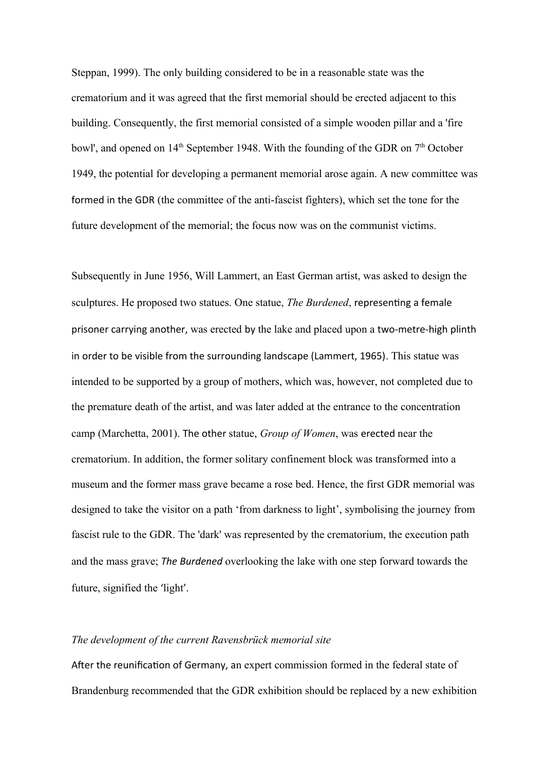Steppan, 1999). The only building considered to be in a reasonable state was the crematorium and it was agreed that the first memorial should be erected adjacent to this building. Consequently, the first memorial consisted of a simple wooden pillar and a 'fire bowl', and opened on  $14<sup>th</sup>$  September 1948. With the founding of the GDR on  $7<sup>th</sup>$  October 1949, the potential for developing a permanent memorial arose again. A new committee was formed in the GDR (the committee of the anti-fascist fighters), which set the tone for the future development of the memorial; the focus now was on the communist victims.

Subsequently in June 1956, Will Lammert, an East German artist, was asked to design the sculptures. He proposed two statues. One statue, *The Burdened*, representing a female prisoner carrying another, was erected by the lake and placed upon a two-metre-high plinth in order to be visible from the surrounding landscape (Lammert, 1965). This statue was intended to be supported by a group of mothers, which was, however, not completed due to the premature death of the artist, and was later added at the entrance to the concentration camp (Marchetta, 2001). The other statue, *Group of Women*, was erected near the crematorium. In addition, the former solitary confinement block was transformed into a museum and the former mass grave became a rose bed. Hence, the first GDR memorial was designed to take the visitor on a path 'from darkness to light', symbolising the journey from fascist rule to the GDR. The 'dark' was represented by the crematorium, the execution path and the mass grave; *The Burdened* overlooking the lake with one step forward towards the future, signified the 'light'.

### *The development of the current Ravensbrück memorial site*

After the reunification of Germany, an expert commission formed in the federal state of Brandenburg recommended that the GDR exhibition should be replaced by a new exhibition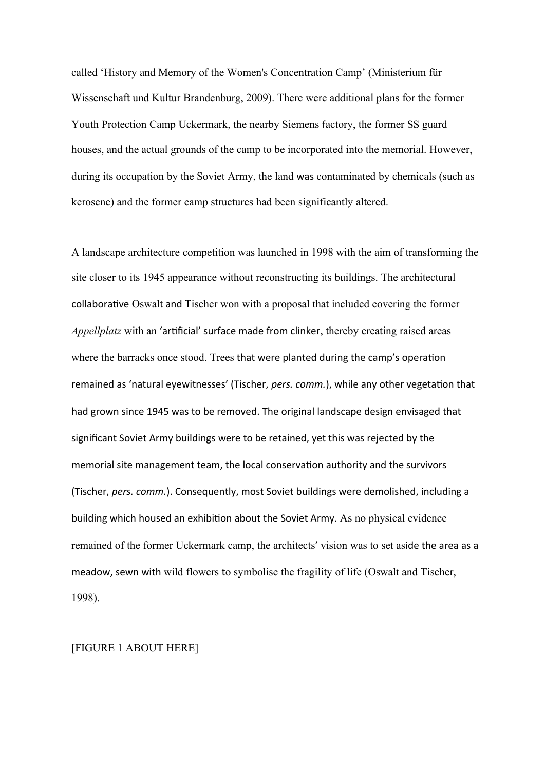called 'History and Memory of the Women's Concentration Camp' (Ministerium für Wissenschaft und Kultur Brandenburg, 2009). There were additional plans for the former Youth Protection Camp Uckermark, the nearby Siemens factory, the former SS guard houses, and the actual grounds of the camp to be incorporated into the memorial. However, during its occupation by the Soviet Army, the land was contaminated by chemicals (such as kerosene) and the former camp structures had been significantly altered.

A landscape architecture competition was launched in 1998 with the aim of transforming the site closer to its 1945 appearance without reconstructing its buildings. The architectural collaborative Oswalt and Tischer won with a proposal that included covering the former *Appellplatz* with an 'artificial' surface made from clinker, thereby creating raised areas where the barracks once stood. Trees that were planted during the camp's operation remained as 'natural eyewitnesses' (Tischer, *pers. comm.*), while any other vegetation that had grown since 1945 was to be removed. The original landscape design envisaged that significant Soviet Army buildings were to be retained, yet this was rejected by the memorial site management team, the local conservation authority and the survivors (Tischer, *pers. comm.*). Consequently, most Soviet buildings were demolished, including a building which housed an exhibition about the Soviet Army. As no physical evidence remained of the former Uckermark camp, the architects' vision was to set aside the area as a meadow, sewn with wild flowers to symbolise the fragility of life (Oswalt and Tischer, 1998).

# [FIGURE 1 ABOUT HERE]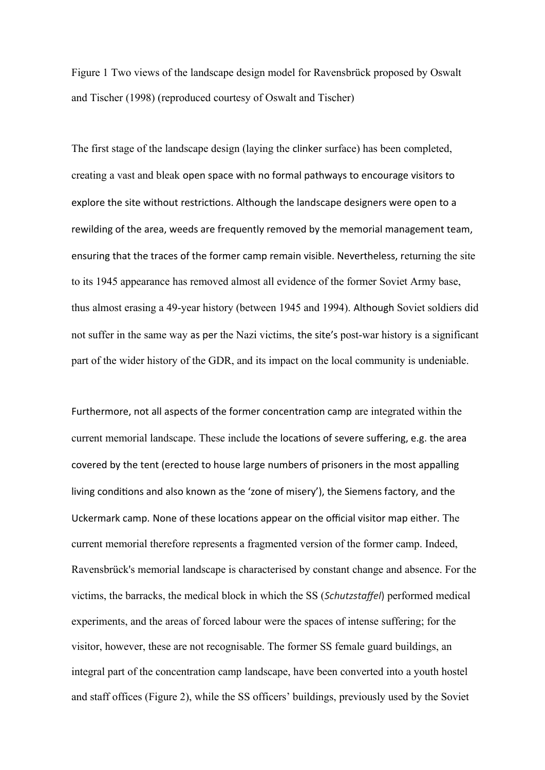Figure 1 Two views of the landscape design model for Ravensbrück proposed by Oswalt and Tischer (1998) (reproduced courtesy of Oswalt and Tischer)

The first stage of the landscape design (laying the clinker surface) has been completed, creating a vast and bleak open space with no formal pathways to encourage visitors to explore the site without restrictions. Although the landscape designers were open to a rewilding of the area, weeds are frequently removed by the memorial management team, ensuring that the traces of the former camp remain visible. Nevertheless, returning the site to its 1945 appearance has removed almost all evidence of the former Soviet Army base, thus almost erasing a 49-year history (between 1945 and 1994). Although Soviet soldiers did not suffer in the same way as per the Nazi victims, the site's post-war history is a significant part of the wider history of the GDR, and its impact on the local community is undeniable.

Furthermore, not all aspects of the former concentration camp are integrated within the current memorial landscape. These include the locations of severe suffering, e.g. the area covered by the tent (erected to house large numbers of prisoners in the most appalling living conditions and also known as the 'zone of misery'), the Siemens factory, and the Uckermark camp. None of these locations appear on the official visitor map either. The current memorial therefore represents a fragmented version of the former camp. Indeed, Ravensbrück's memorial landscape is characterised by constant change and absence. For the victims, the barracks, the medical block in which the SS (*Schutzstaffel*) performed medical experiments, and the areas of forced labour were the spaces of intense suffering; for the visitor, however, these are not recognisable. The former SS female guard buildings, an integral part of the concentration camp landscape, have been converted into a youth hostel and staff offices (Figure 2), while the SS officers' buildings, previously used by the Soviet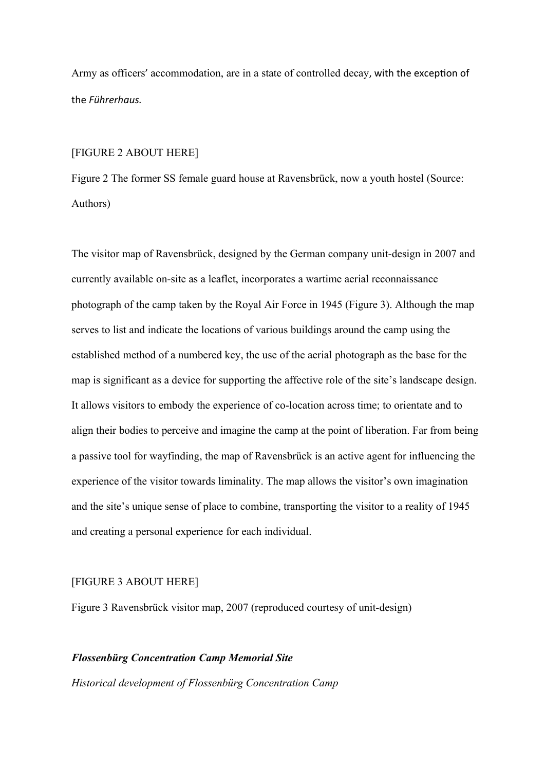Army as officers' accommodation, are in a state of controlled decay, with the exception of the *Führerhaus.*

## [FIGURE 2 ABOUT HERE]

Figure 2 The former SS female guard house at Ravensbrück, now a youth hostel (Source: Authors)

The visitor map of Ravensbrück, designed by the German company unit-design in 2007 and currently available on-site as a leaflet, incorporates a wartime aerial reconnaissance photograph of the camp taken by the Royal Air Force in 1945 (Figure 3). Although the map serves to list and indicate the locations of various buildings around the camp using the established method of a numbered key, the use of the aerial photograph as the base for the map is significant as a device for supporting the affective role of the site's landscape design. It allows visitors to embody the experience of co-location across time; to orientate and to align their bodies to perceive and imagine the camp at the point of liberation. Far from being a passive tool for wayfinding, the map of Ravensbrück is an active agent for influencing the experience of the visitor towards liminality. The map allows the visitor's own imagination and the site's unique sense of place to combine, transporting the visitor to a reality of 1945 and creating a personal experience for each individual.

# [FIGURE 3 ABOUT HERE]

Figure 3 Ravensbrück visitor map, 2007 (reproduced courtesy of unit-design)

# *Flossenbürg Concentration Camp Memorial Site*

*Historical development of Flossenbürg Concentration Camp*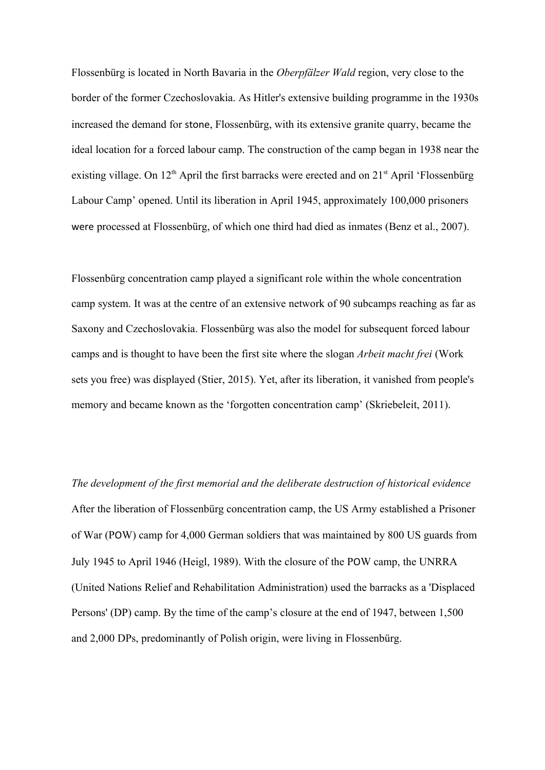Flossenbürg is located in North Bavaria in the *Oberpfälzer Wald* region, very close to the border of the former Czechoslovakia. As Hitler's extensive building programme in the 1930s increased the demand for stone, Flossenbürg, with its extensive granite quarry, became the ideal location for a forced labour camp. The construction of the camp began in 1938 near the existing village. On  $12<sup>th</sup>$  April the first barracks were erected and on  $21<sup>st</sup>$  April 'Flossenbürg Labour Camp' opened. Until its liberation in April 1945, approximately 100,000 prisoners were processed at Flossenbürg, of which one third had died as inmates (Benz et al., 2007).

Flossenbürg concentration camp played a significant role within the whole concentration camp system. It was at the centre of an extensive network of 90 subcamps reaching as far as Saxony and Czechoslovakia. Flossenbürg was also the model for subsequent forced labour camps and is thought to have been the first site where the slogan *Arbeit macht frei* (Work sets you free) was displayed (Stier, 2015). Yet, after its liberation, it vanished from people's memory and became known as the 'forgotten concentration camp' (Skriebeleit, 2011).

*The development of the first memorial and the deliberate destruction of historical evidence* After the liberation of Flossenbürg concentration camp, the US Army established a Prisoner of War (POW) camp for 4,000 German soldiers that was maintained by 800 US guards from July 1945 to April 1946 (Heigl, 1989). With the closure of the POW camp, the UNRRA (United Nations Relief and Rehabilitation Administration) used the barracks as a 'Displaced Persons' (DP) camp. By the time of the camp's closure at the end of 1947, between 1,500 and 2,000 DPs, predominantly of Polish origin, were living in Flossenbürg.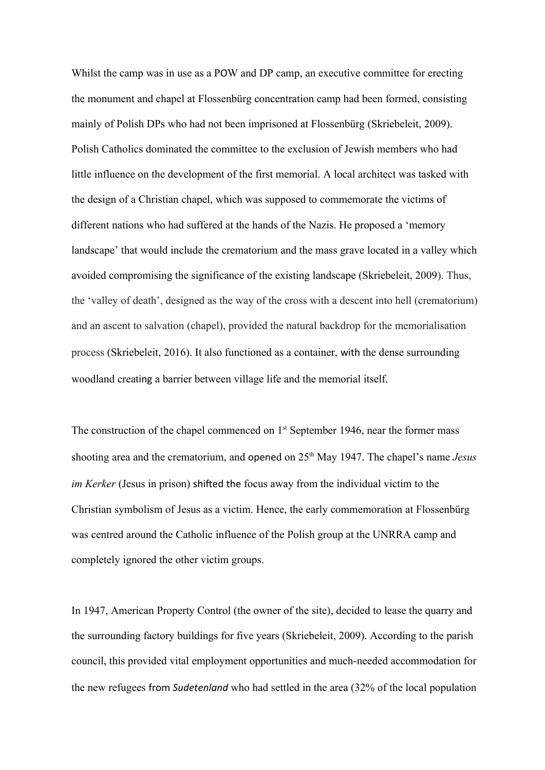Whilst the camp was in use as a POW and DP camp, an executive committee for erecting the monument and chapel at Flossenbürg concentration camp had been formed, consisting mainly of Polish DPs who had not been imprisoned at Flossenbürg (Skriebeleit, 2009). Polish Catholics dominated the committee to the exclusion of Jewish members who had little influence on the development of the first memorial. A local architect was tasked with the design of a Christian chapel, which was supposed to commemorate the victims of different nations who had suffered at the hands of the Nazis. He proposed a 'memory landscape' that would include the crematorium and the mass grave located in a valley which avoided compromising the significance of the existing landscape (Skriebeleit, 2009). Thus, the 'valley of death', designed as the way of the cross with a descent into hell (crematorium) and an ascent to salvation (chapel), provided the natural backdrop for the memorialisation process (Skriebeleit, 2016). It also functioned as a container, with the dense surrounding woodland creating a barrier between village life and the memorial itself.

The construction of the chapel commenced on  $1<sup>st</sup>$  September 1946, near the former mass shooting area and the crematorium, and opened on 25<sup>th</sup> May 1947. The chapel's name *Jesus im Kerker* (Jesus in prison) shifted the focus away from the individual victim to the Christian symbolism of Jesus as a victim. Hence, the early commemoration at Flossenbürg was centred around the Catholic influence of the Polish group at the UNRRA camp and completely ignored the other victim groups.

In 1947, American Property Control (the owner of the site), decided to lease the quarry and the surrounding factory buildings for five years (Skriebeleit, 2009). According to the parish council, this provided vital employment opportunities and much-needed accommodation for the new refugees from *Sudetenland* who had settled in the area (32% of the local population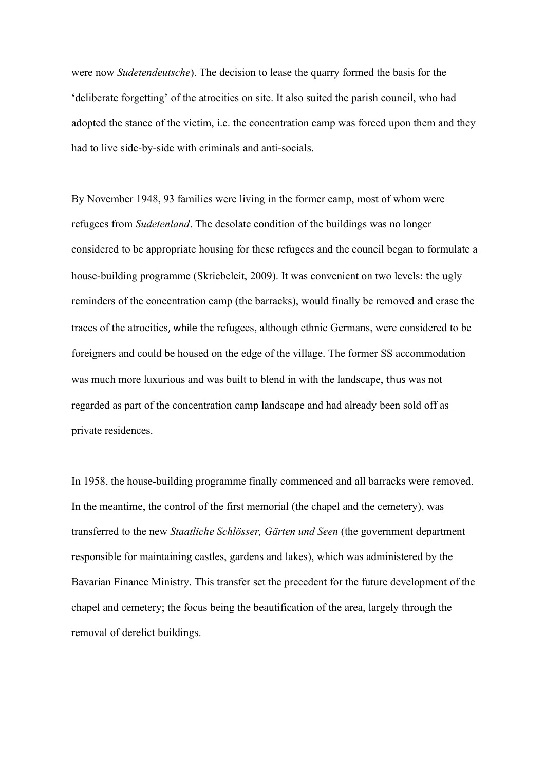were now *Sudetendeutsche*). The decision to lease the quarry formed the basis for the 'deliberate forgetting' of the atrocities on site. It also suited the parish council, who had adopted the stance of the victim, i.e. the concentration camp was forced upon them and they had to live side-by-side with criminals and anti-socials.

By November 1948, 93 families were living in the former camp, most of whom were refugees from *Sudetenland*. The desolate condition of the buildings was no longer considered to be appropriate housing for these refugees and the council began to formulate a house-building programme (Skriebeleit, 2009). It was convenient on two levels: the ugly reminders of the concentration camp (the barracks), would finally be removed and erase the traces of the atrocities, while the refugees, although ethnic Germans, were considered to be foreigners and could be housed on the edge of the village. The former SS accommodation was much more luxurious and was built to blend in with the landscape, thus was not regarded as part of the concentration camp landscape and had already been sold off as private residences.

In 1958, the house-building programme finally commenced and all barracks were removed. In the meantime, the control of the first memorial (the chapel and the cemetery), was transferred to the new *Staatliche Schlösser, Gärten und Seen* (the government department responsible for maintaining castles, gardens and lakes), which was administered by the Bavarian Finance Ministry. This transfer set the precedent for the future development of the chapel and cemetery; the focus being the beautification of the area, largely through the removal of derelict buildings.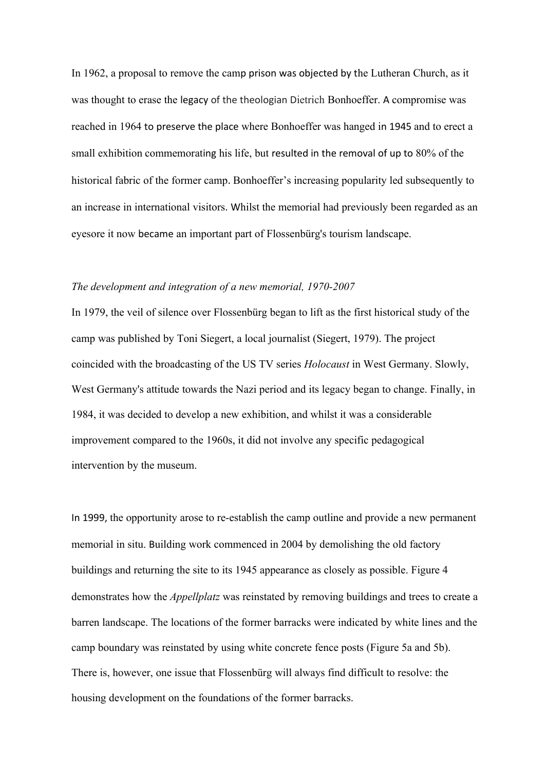In 1962, a proposal to remove the camp prison was objected by the Lutheran Church, as it was thought to erase the legacy of the theologian Dietrich Bonhoeffer. A compromise was reached in 1964 to preserve the place where Bonhoeffer was hanged in 1945 and to erect a small exhibition commemorating his life, but resulted in the removal of up to 80% of the historical fabric of the former camp. Bonhoeffer's increasing popularity led subsequently to an increase in international visitors. Whilst the memorial had previously been regarded as an eyesore it now became an important part of Flossenbürg's tourism landscape.

### *The development and integration of a new memorial, 1970-2007*

In 1979, the veil of silence over Flossenbürg began to lift as the first historical study of the camp was published by Toni Siegert, a local journalist (Siegert, 1979). The project coincided with the broadcasting of the US TV series *Holocaust* in West Germany. Slowly, West Germany's attitude towards the Nazi period and its legacy began to change. Finally, in 1984, it was decided to develop a new exhibition, and whilst it was a considerable improvement compared to the 1960s, it did not involve any specific pedagogical intervention by the museum.

In 1999, the opportunity arose to re-establish the camp outline and provide a new permanent memorial in situ. Building work commenced in 2004 by demolishing the old factory buildings and returning the site to its 1945 appearance as closely as possible. Figure 4 demonstrates how the *Appellplatz* was reinstated by removing buildings and trees to create a barren landscape. The locations of the former barracks were indicated by white lines and the camp boundary was reinstated by using white concrete fence posts (Figure 5a and 5b). There is, however, one issue that Flossenbürg will always find difficult to resolve: the housing development on the foundations of the former barracks.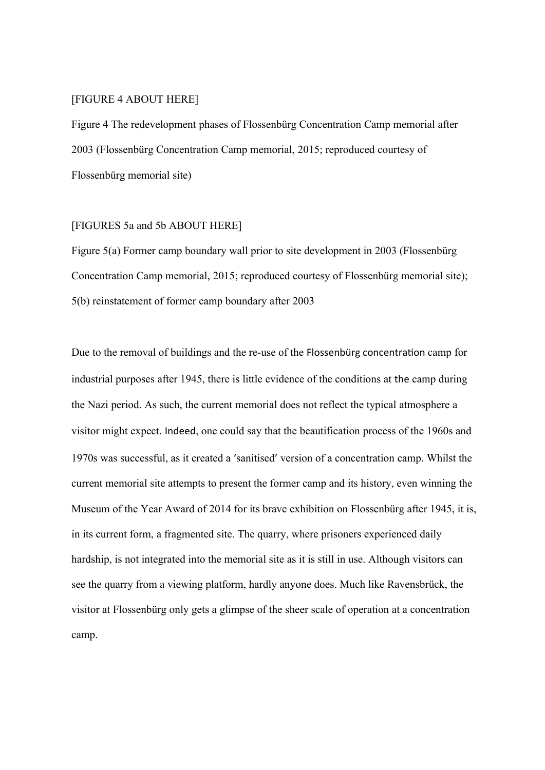# [FIGURE 4 ABOUT HERE]

Figure 4 The redevelopment phases of Flossenbürg Concentration Camp memorial after 2003 (Flossenbürg Concentration Camp memorial, 2015; reproduced courtesy of Flossenbürg memorial site)

# [FIGURES 5a and 5b ABOUT HERE]

Figure 5(a) Former camp boundary wall prior to site development in 2003 (Flossenbürg Concentration Camp memorial, 2015; reproduced courtesy of Flossenbürg memorial site); 5(b) reinstatement of former camp boundary after 2003

Due to the removal of buildings and the re-use of the Flossenbürg concentration camp for industrial purposes after 1945, there is little evidence of the conditions at the camp during the Nazi period. As such, the current memorial does not reflect the typical atmosphere a visitor might expect. Indeed, one could say that the beautification process of the 1960s and 1970s was successful, as it created a 'sanitised' version of a concentration camp. Whilst the current memorial site attempts to present the former camp and its history, even winning the Museum of the Year Award of 2014 for its brave exhibition on Flossenbürg after 1945, it is, in its current form, a fragmented site. The quarry, where prisoners experienced daily hardship, is not integrated into the memorial site as it is still in use. Although visitors can see the quarry from a viewing platform, hardly anyone does. Much like Ravensbrück, the visitor at Flossenbürg only gets a glimpse of the sheer scale of operation at a concentration camp.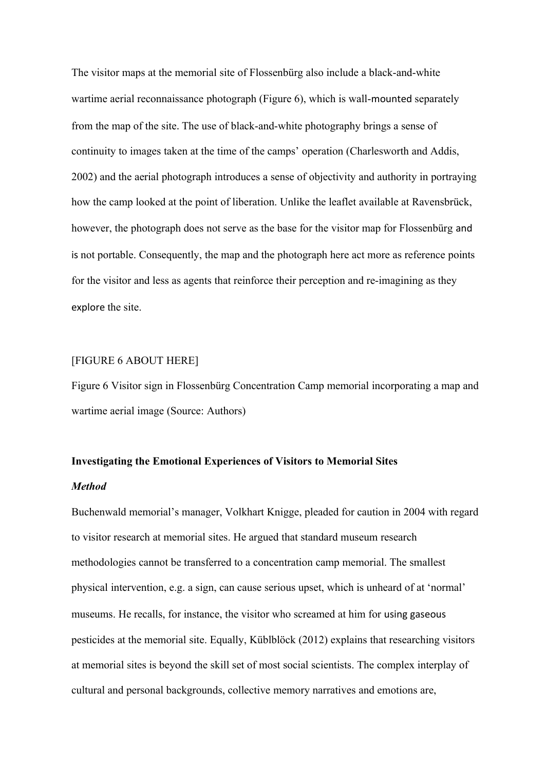The visitor maps at the memorial site of Flossenbürg also include a black-and-white wartime aerial reconnaissance photograph (Figure 6), which is wall-mounted separately from the map of the site. The use of black-and-white photography brings a sense of continuity to images taken at the time of the camps' operation (Charlesworth and Addis, 2002) and the aerial photograph introduces a sense of objectivity and authority in portraying how the camp looked at the point of liberation. Unlike the leaflet available at Ravensbrück, however, the photograph does not serve as the base for the visitor map for Flossenbürg and is not portable. Consequently, the map and the photograph here act more as reference points for the visitor and less as agents that reinforce their perception and re-imagining as they explore the site.

## [FIGURE 6 ABOUT HERE]

Figure 6 Visitor sign in Flossenbürg Concentration Camp memorial incorporating a map and wartime aerial image (Source: Authors)

# **Investigating the Emotional Experiences of Visitors to Memorial Sites**

## *Method*

Buchenwald memorial's manager, Volkhart Knigge, pleaded for caution in 2004 with regard to visitor research at memorial sites. He argued that standard museum research methodologies cannot be transferred to a concentration camp memorial. The smallest physical intervention, e.g. a sign, can cause serious upset, which is unheard of at 'normal' museums. He recalls, for instance, the visitor who screamed at him for using gaseous pesticides at the memorial site. Equally, Küblblöck (2012) explains that researching visitors at memorial sites is beyond the skill set of most social scientists. The complex interplay of cultural and personal backgrounds, collective memory narratives and emotions are,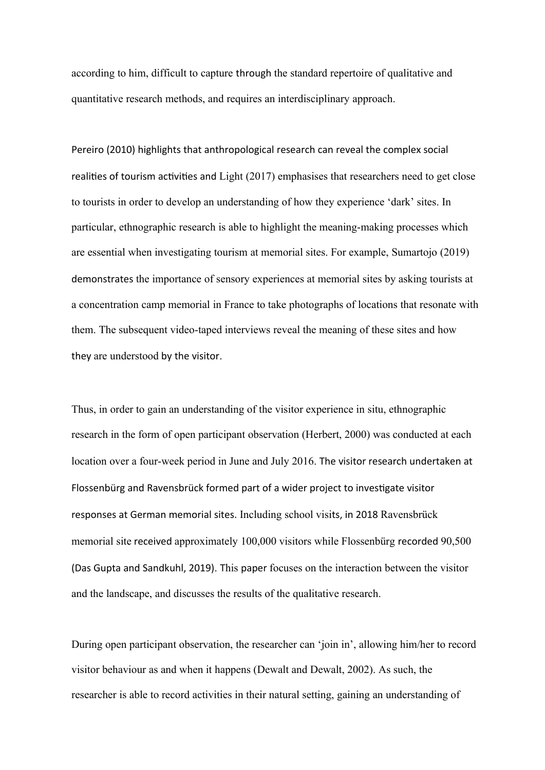according to him, difficult to capture through the standard repertoire of qualitative and quantitative research methods, and requires an interdisciplinary approach.

Pereiro (2010) highlights that anthropological research can reveal the complex social realities of tourism activities and Light (2017) emphasises that researchers need to get close to tourists in order to develop an understanding of how they experience 'dark' sites. In particular, ethnographic research is able to highlight the meaning-making processes which are essential when investigating tourism at memorial sites. For example, Sumartojo (2019) demonstrates the importance of sensory experiences at memorial sites by asking tourists at a concentration camp memorial in France to take photographs of locations that resonate with them. The subsequent video-taped interviews reveal the meaning of these sites and how they are understood by the visitor.

Thus, in order to gain an understanding of the visitor experience in situ, ethnographic research in the form of open participant observation (Herbert, 2000) was conducted at each location over a four-week period in June and July 2016. The visitor research undertaken at Flossenbürg and Ravensbrück formed part of a wider project to investigate visitor responses at German memorial sites. Including school visits, in 2018 Ravensbrück memorial site received approximately 100,000 visitors while Flossenbürg recorded 90,500 (Das Gupta and Sandkuhl, 2019). This paper focuses on the interaction between the visitor and the landscape, and discusses the results of the qualitative research.

During open participant observation, the researcher can 'join in', allowing him/her to record visitor behaviour as and when it happens (Dewalt and Dewalt, 2002). As such, the researcher is able to record activities in their natural setting, gaining an understanding of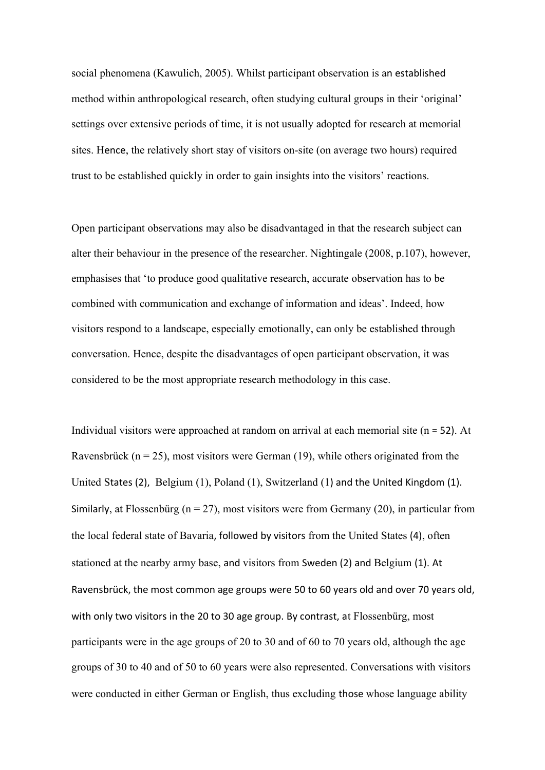social phenomena (Kawulich, 2005). Whilst participant observation is an established method within anthropological research, often studying cultural groups in their 'original' settings over extensive periods of time, it is not usually adopted for research at memorial sites. Hence, the relatively short stay of visitors on-site (on average two hours) required trust to be established quickly in order to gain insights into the visitors' reactions.

Open participant observations may also be disadvantaged in that the research subject can alter their behaviour in the presence of the researcher. Nightingale (2008, p.107), however, emphasises that 'to produce good qualitative research, accurate observation has to be combined with communication and exchange of information and ideas'. Indeed, how visitors respond to a landscape, especially emotionally, can only be established through conversation. Hence, despite the disadvantages of open participant observation, it was considered to be the most appropriate research methodology in this case.

Individual visitors were approached at random on arrival at each memorial site (n = 52). At Ravensbrück ( $n = 25$ ), most visitors were German (19), while others originated from the United States (2), Belgium (1), Poland (1), Switzerland (1) and the United Kingdom (1). Similarly, at Flossenbürg ( $n = 27$ ), most visitors were from Germany (20), in particular from the local federal state of Bavaria, followed by visitors from the United States (4), often stationed at the nearby army base, and visitors from Sweden (2) and Belgium (1). At Ravensbrück, the most common age groups were 50 to 60 years old and over 70 years old, with only two visitors in the 20 to 30 age group. By contrast, at Flossenbürg, most participants were in the age groups of 20 to 30 and of 60 to 70 years old, although the age groups of 30 to 40 and of 50 to 60 years were also represented. Conversations with visitors were conducted in either German or English, thus excluding those whose language ability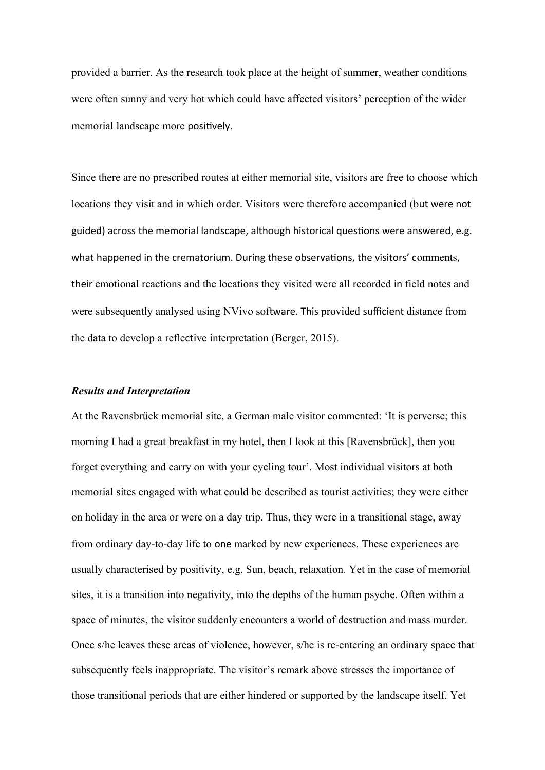provided a barrier. As the research took place at the height of summer, weather conditions were often sunny and very hot which could have affected visitors' perception of the wider memorial landscape more positively.

Since there are no prescribed routes at either memorial site, visitors are free to choose which locations they visit and in which order. Visitors were therefore accompanied (but were not guided) across the memorial landscape, although historical questions were answered, e.g. what happened in the crematorium. During these observations, the visitors' comments, their emotional reactions and the locations they visited were all recorded in field notes and were subsequently analysed using NVivo software. This provided sufficient distance from the data to develop a reflective interpretation (Berger, 2015).

## *Results and Interpretation*

At the Ravensbrück memorial site, a German male visitor commented: 'It is perverse; this morning I had a great breakfast in my hotel, then I look at this [Ravensbrück], then you forget everything and carry on with your cycling tour'. Most individual visitors at both memorial sites engaged with what could be described as tourist activities; they were either on holiday in the area or were on a day trip. Thus, they were in a transitional stage, away from ordinary day-to-day life to one marked by new experiences. These experiences are usually characterised by positivity, e.g. Sun, beach, relaxation. Yet in the case of memorial sites, it is a transition into negativity, into the depths of the human psyche. Often within a space of minutes, the visitor suddenly encounters a world of destruction and mass murder. Once s/he leaves these areas of violence, however, s/he is re-entering an ordinary space that subsequently feels inappropriate. The visitor's remark above stresses the importance of those transitional periods that are either hindered or supported by the landscape itself. Yet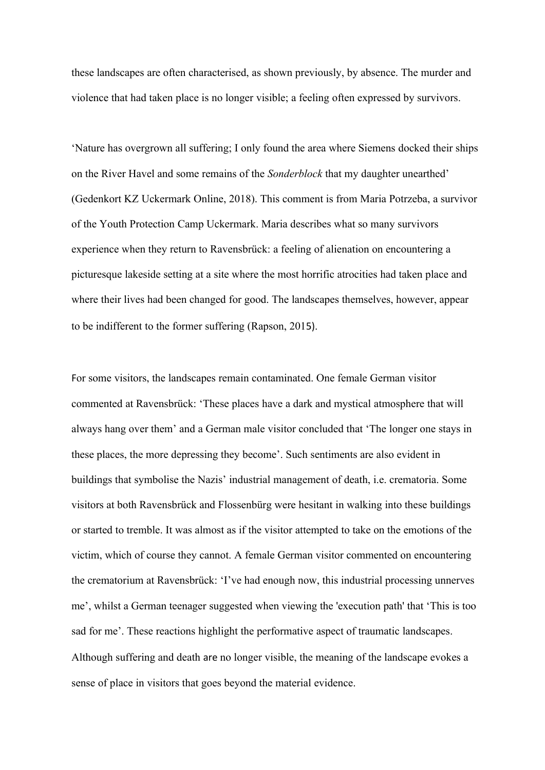these landscapes are often characterised, as shown previously, by absence. The murder and violence that had taken place is no longer visible; a feeling often expressed by survivors.

'Nature has overgrown all suffering; I only found the area where Siemens docked their ships on the River Havel and some remains of the *Sonderblock* that my daughter unearthed' (Gedenkort KZ Uckermark Online, 2018). This comment is from Maria Potrzeba, a survivor of the Youth Protection Camp Uckermark. Maria describes what so many survivors experience when they return to Ravensbrück: a feeling of alienation on encountering a picturesque lakeside setting at a site where the most horrific atrocities had taken place and where their lives had been changed for good. The landscapes themselves, however, appear to be indifferent to the former suffering (Rapson, 2015).

For some visitors, the landscapes remain contaminated. One female German visitor commented at Ravensbrück: 'These places have a dark and mystical atmosphere that will always hang over them' and a German male visitor concluded that 'The longer one stays in these places, the more depressing they become'. Such sentiments are also evident in buildings that symbolise the Nazis' industrial management of death, i.e. crematoria. Some visitors at both Ravensbrück and Flossenbürg were hesitant in walking into these buildings or started to tremble. It was almost as if the visitor attempted to take on the emotions of the victim, which of course they cannot. A female German visitor commented on encountering the crematorium at Ravensbrück: 'I've had enough now, this industrial processing unnerves me', whilst a German teenager suggested when viewing the 'execution path' that 'This is too sad for me'. These reactions highlight the performative aspect of traumatic landscapes. Although suffering and death are no longer visible, the meaning of the landscape evokes a sense of place in visitors that goes beyond the material evidence.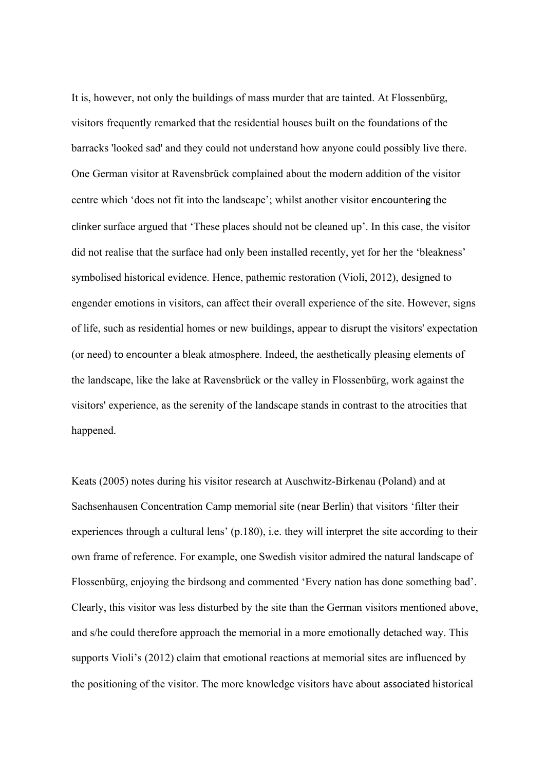It is, however, not only the buildings of mass murder that are tainted. At Flossenbürg, visitors frequently remarked that the residential houses built on the foundations of the barracks 'looked sad' and they could not understand how anyone could possibly live there. One German visitor at Ravensbrück complained about the modern addition of the visitor centre which 'does not fit into the landscape'; whilst another visitor encountering the clinker surface argued that 'These places should not be cleaned up'. In this case, the visitor did not realise that the surface had only been installed recently, yet for her the 'bleakness' symbolised historical evidence. Hence, pathemic restoration (Violi, 2012), designed to engender emotions in visitors, can affect their overall experience of the site. However, signs of life, such as residential homes or new buildings, appear to disrupt the visitors' expectation (or need) to encounter a bleak atmosphere. Indeed, the aesthetically pleasing elements of the landscape, like the lake at Ravensbrück or the valley in Flossenbürg, work against the visitors' experience, as the serenity of the landscape stands in contrast to the atrocities that happened.

Keats (2005) notes during his visitor research at Auschwitz-Birkenau (Poland) and at Sachsenhausen Concentration Camp memorial site (near Berlin) that visitors 'filter their experiences through a cultural lens' (p.180), i.e. they will interpret the site according to their own frame of reference. For example, one Swedish visitor admired the natural landscape of Flossenbürg, enjoying the birdsong and commented 'Every nation has done something bad'. Clearly, this visitor was less disturbed by the site than the German visitors mentioned above, and s/he could therefore approach the memorial in a more emotionally detached way. This supports Violi's (2012) claim that emotional reactions at memorial sites are influenced by the positioning of the visitor. The more knowledge visitors have about associated historical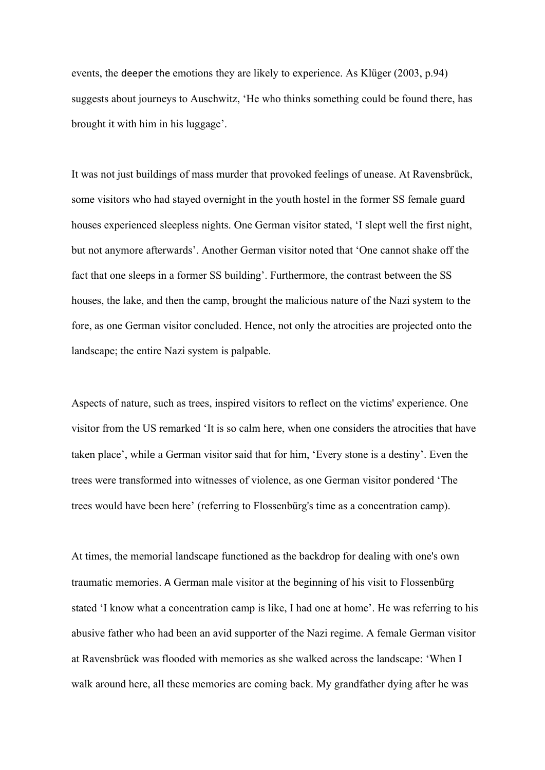events, the deeper the emotions they are likely to experience. As Klüger (2003, p.94) suggests about journeys to Auschwitz, 'He who thinks something could be found there, has brought it with him in his luggage'.

It was not just buildings of mass murder that provoked feelings of unease. At Ravensbrück, some visitors who had stayed overnight in the youth hostel in the former SS female guard houses experienced sleepless nights. One German visitor stated, 'I slept well the first night, but not anymore afterwards'. Another German visitor noted that 'One cannot shake off the fact that one sleeps in a former SS building'. Furthermore, the contrast between the SS houses, the lake, and then the camp, brought the malicious nature of the Nazi system to the fore, as one German visitor concluded. Hence, not only the atrocities are projected onto the landscape; the entire Nazi system is palpable.

Aspects of nature, such as trees, inspired visitors to reflect on the victims' experience. One visitor from the US remarked 'It is so calm here, when one considers the atrocities that have taken place', while a German visitor said that for him, 'Every stone is a destiny'. Even the trees were transformed into witnesses of violence, as one German visitor pondered 'The trees would have been here' (referring to Flossenbürg's time as a concentration camp).

At times, the memorial landscape functioned as the backdrop for dealing with one's own traumatic memories. A German male visitor at the beginning of his visit to Flossenbürg stated 'I know what a concentration camp is like, I had one at home'. He was referring to his abusive father who had been an avid supporter of the Nazi regime. A female German visitor at Ravensbrück was flooded with memories as she walked across the landscape: 'When I walk around here, all these memories are coming back. My grandfather dying after he was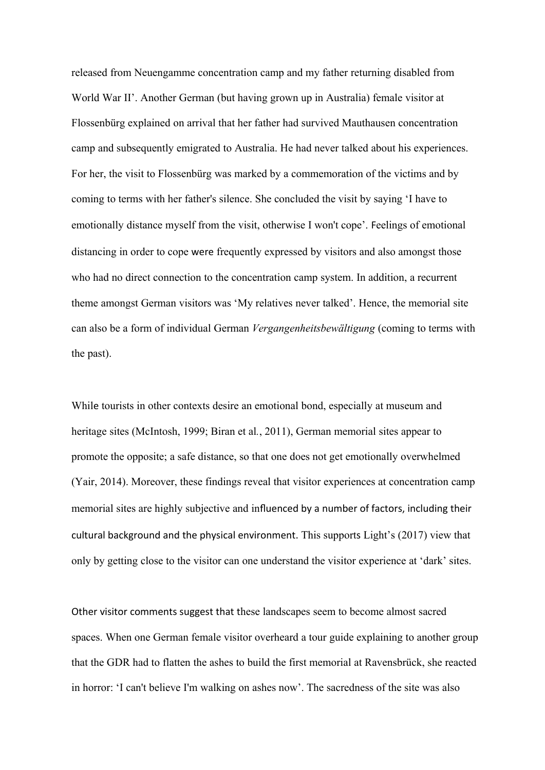released from Neuengamme concentration camp and my father returning disabled from World War II'. Another German (but having grown up in Australia) female visitor at Flossenbürg explained on arrival that her father had survived Mauthausen concentration camp and subsequently emigrated to Australia. He had never talked about his experiences. For her, the visit to Flossenbürg was marked by a commemoration of the victims and by coming to terms with her father's silence. She concluded the visit by saying 'I have to emotionally distance myself from the visit, otherwise I won't cope'. Feelings of emotional distancing in order to cope were frequently expressed by visitors and also amongst those who had no direct connection to the concentration camp system. In addition, a recurrent theme amongst German visitors was 'My relatives never talked'. Hence, the memorial site can also be a form of individual German *Vergangenheitsbewältigung* (coming to terms with the past).

While tourists in other contexts desire an emotional bond, especially at museum and heritage sites (McIntosh, 1999; Biran et al*.*, 2011), German memorial sites appear to promote the opposite; a safe distance, so that one does not get emotionally overwhelmed (Yair, 2014). Moreover, these findings reveal that visitor experiences at concentration camp memorial sites are highly subjective and influenced by a number of factors, including their cultural background and the physical environment. This supports Light's (2017) view that only by getting close to the visitor can one understand the visitor experience at 'dark' sites.

Other visitor comments suggest that these landscapes seem to become almost sacred spaces. When one German female visitor overheard a tour guide explaining to another group that the GDR had to flatten the ashes to build the first memorial at Ravensbrück, she reacted in horror: 'I can't believe I'm walking on ashes now'. The sacredness of the site was also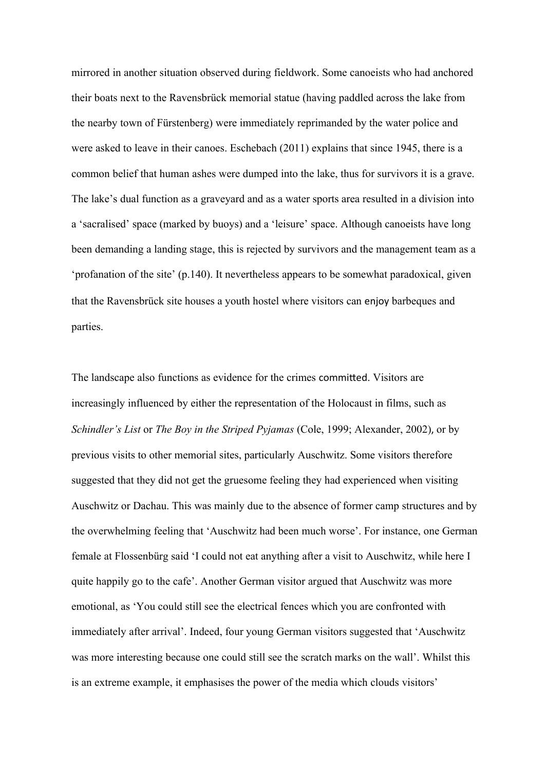mirrored in another situation observed during fieldwork. Some canoeists who had anchored their boats next to the Ravensbrück memorial statue (having paddled across the lake from the nearby town of Fürstenberg) were immediately reprimanded by the water police and were asked to leave in their canoes. Eschebach (2011) explains that since 1945, there is a common belief that human ashes were dumped into the lake, thus for survivors it is a grave. The lake's dual function as a graveyard and as a water sports area resulted in a division into a 'sacralised' space (marked by buoys) and a 'leisure' space. Although canoeists have long been demanding a landing stage, this is rejected by survivors and the management team as a 'profanation of the site' (p.140). It nevertheless appears to be somewhat paradoxical, given that the Ravensbrück site houses a youth hostel where visitors can enjoy barbeques and parties.

The landscape also functions as evidence for the crimes committed. Visitors are increasingly influenced by either the representation of the Holocaust in films, such as *Schindler's List* or *The Boy in the Striped Pyjamas* (Cole, 1999; Alexander, 2002), or by previous visits to other memorial sites, particularly Auschwitz. Some visitors therefore suggested that they did not get the gruesome feeling they had experienced when visiting Auschwitz or Dachau. This was mainly due to the absence of former camp structures and by the overwhelming feeling that 'Auschwitz had been much worse'. For instance, one German female at Flossenbürg said 'I could not eat anything after a visit to Auschwitz, while here I quite happily go to the cafe'. Another German visitor argued that Auschwitz was more emotional, as 'You could still see the electrical fences which you are confronted with immediately after arrival'. Indeed, four young German visitors suggested that 'Auschwitz was more interesting because one could still see the scratch marks on the wall'. Whilst this is an extreme example, it emphasises the power of the media which clouds visitors'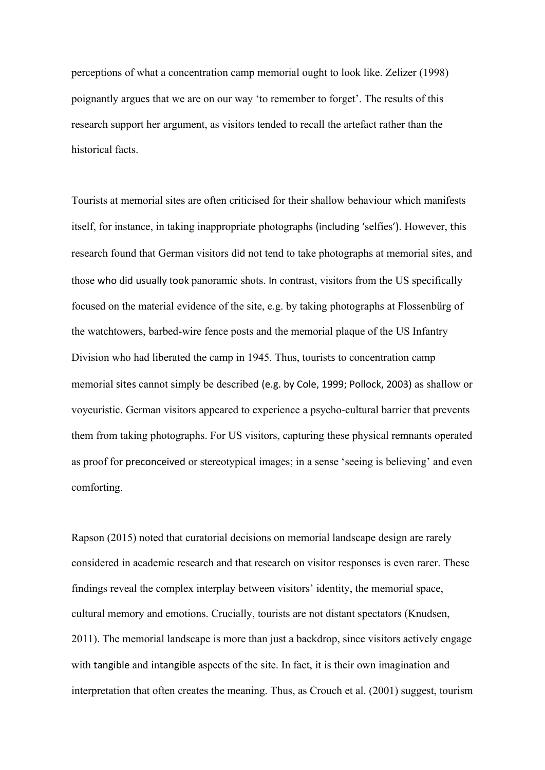perceptions of what a concentration camp memorial ought to look like. Zelizer (1998) poignantly argues that we are on our way 'to remember to forget'. The results of this research support her argument, as visitors tended to recall the artefact rather than the historical facts.

Tourists at memorial sites are often criticised for their shallow behaviour which manifests itself, for instance, in taking inappropriate photographs (including 'selfies'). However, this research found that German visitors did not tend to take photographs at memorial sites, and those who did usually took panoramic shots. In contrast, visitors from the US specifically focused on the material evidence of the site, e.g. by taking photographs at Flossenbürg of the watchtowers, barbed-wire fence posts and the memorial plaque of the US Infantry Division who had liberated the camp in 1945. Thus, tourists to concentration camp memorial sites cannot simply be described (e.g. by Cole, 1999; Pollock, 2003) as shallow or voyeuristic. German visitors appeared to experience a psycho-cultural barrier that prevents them from taking photographs. For US visitors, capturing these physical remnants operated as proof for preconceived or stereotypical images; in a sense 'seeing is believing' and even comforting.

Rapson (2015) noted that curatorial decisions on memorial landscape design are rarely considered in academic research and that research on visitor responses is even rarer. These findings reveal the complex interplay between visitors' identity, the memorial space, cultural memory and emotions. Crucially, tourists are not distant spectators (Knudsen, 2011). The memorial landscape is more than just a backdrop, since visitors actively engage with tangible and intangible aspects of the site. In fact, it is their own imagination and interpretation that often creates the meaning. Thus, as Crouch et al. (2001) suggest, tourism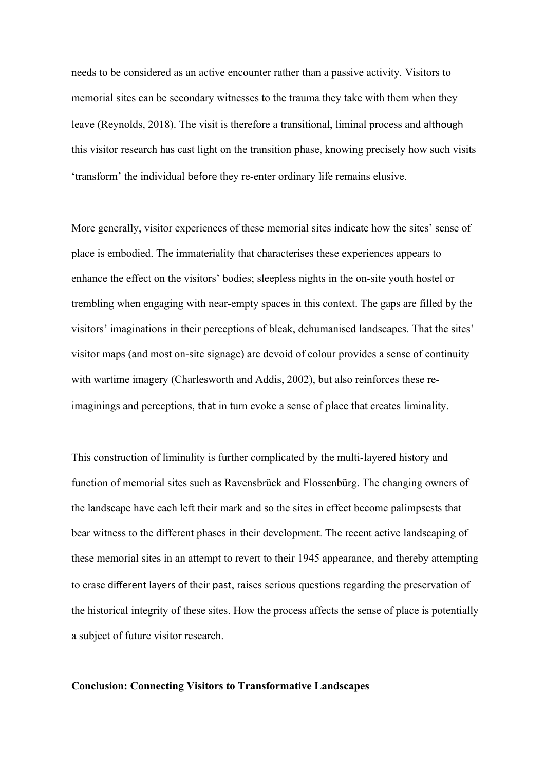needs to be considered as an active encounter rather than a passive activity. Visitors to memorial sites can be secondary witnesses to the trauma they take with them when they leave (Reynolds, 2018). The visit is therefore a transitional, liminal process and although this visitor research has cast light on the transition phase, knowing precisely how such visits 'transform' the individual before they re-enter ordinary life remains elusive.

More generally, visitor experiences of these memorial sites indicate how the sites' sense of place is embodied. The immateriality that characterises these experiences appears to enhance the effect on the visitors' bodies; sleepless nights in the on-site youth hostel or trembling when engaging with near-empty spaces in this context. The gaps are filled by the visitors' imaginations in their perceptions of bleak, dehumanised landscapes. That the sites' visitor maps (and most on-site signage) are devoid of colour provides a sense of continuity with wartime imagery (Charlesworth and Addis, 2002), but also reinforces these reimaginings and perceptions, that in turn evoke a sense of place that creates liminality.

This construction of liminality is further complicated by the multi-layered history and function of memorial sites such as Ravensbrück and Flossenbürg. The changing owners of the landscape have each left their mark and so the sites in effect become palimpsests that bear witness to the different phases in their development. The recent active landscaping of these memorial sites in an attempt to revert to their 1945 appearance, and thereby attempting to erase different layers of their past, raises serious questions regarding the preservation of the historical integrity of these sites. How the process affects the sense of place is potentially a subject of future visitor research.

# **Conclusion: Connecting Visitors to Transformative Landscapes**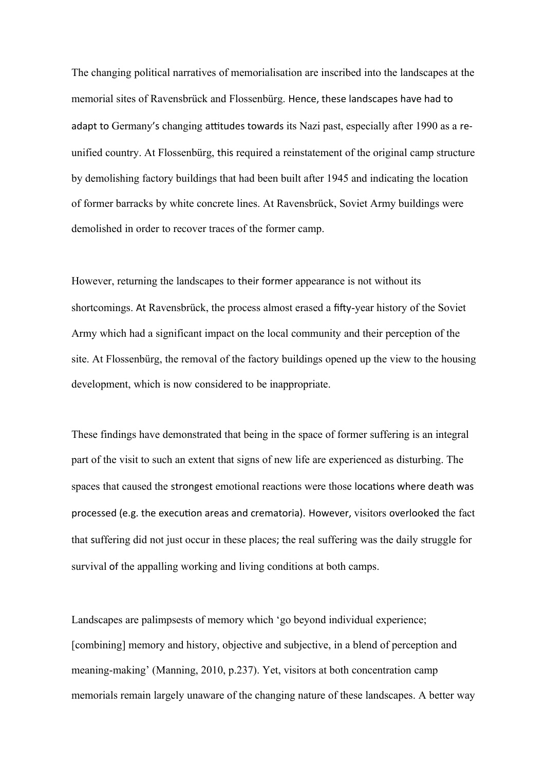The changing political narratives of memorialisation are inscribed into the landscapes at the memorial sites of Ravensbrück and Flossenbürg. Hence, these landscapes have had to adapt to Germany's changing attitudes towards its Nazi past, especially after 1990 as a reunified country. At Flossenbürg, this required a reinstatement of the original camp structure by demolishing factory buildings that had been built after 1945 and indicating the location of former barracks by white concrete lines. At Ravensbrück, Soviet Army buildings were demolished in order to recover traces of the former camp.

However, returning the landscapes to their former appearance is not without its shortcomings. At Ravensbrück, the process almost erased a fifty-year history of the Soviet Army which had a significant impact on the local community and their perception of the site. At Flossenbürg, the removal of the factory buildings opened up the view to the housing development, which is now considered to be inappropriate.

These findings have demonstrated that being in the space of former suffering is an integral part of the visit to such an extent that signs of new life are experienced as disturbing. The spaces that caused the strongest emotional reactions were those locations where death was processed (e.g. the execution areas and crematoria). However, visitors overlooked the fact that suffering did not just occur in these places; the real suffering was the daily struggle for survival of the appalling working and living conditions at both camps.

Landscapes are palimpsests of memory which 'go beyond individual experience; [combining] memory and history, objective and subjective, in a blend of perception and meaning-making' (Manning, 2010, p.237). Yet, visitors at both concentration camp memorials remain largely unaware of the changing nature of these landscapes. A better way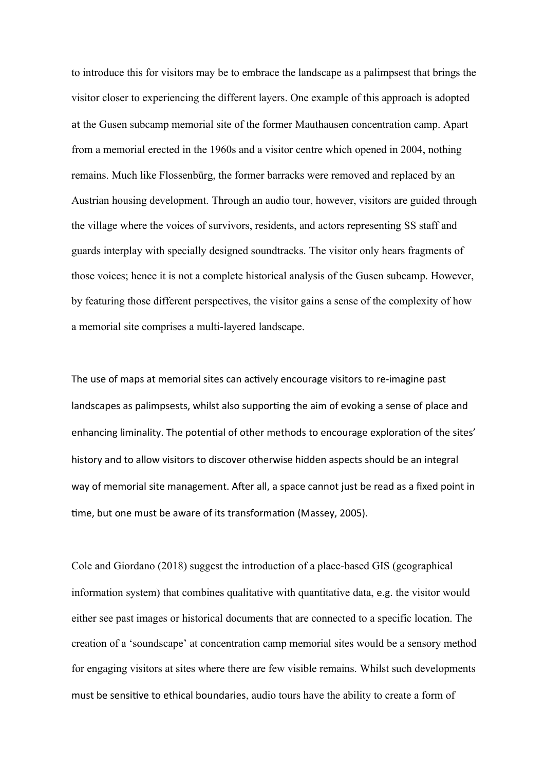to introduce this for visitors may be to embrace the landscape as a palimpsest that brings the visitor closer to experiencing the different layers. One example of this approach is adopted at the Gusen subcamp memorial site of the former Mauthausen concentration camp. Apart from a memorial erected in the 1960s and a visitor centre which opened in 2004, nothing remains. Much like Flossenbürg, the former barracks were removed and replaced by an Austrian housing development. Through an audio tour, however, visitors are guided through the village where the voices of survivors, residents, and actors representing SS staff and guards interplay with specially designed soundtracks. The visitor only hears fragments of those voices; hence it is not a complete historical analysis of the Gusen subcamp. However, by featuring those different perspectives, the visitor gains a sense of the complexity of how a memorial site comprises a multi-layered landscape.

The use of maps at memorial sites can actively encourage visitors to re-imagine past landscapes as palimpsests, whilst also supporting the aim of evoking a sense of place and enhancing liminality. The potential of other methods to encourage exploration of the sites' history and to allow visitors to discover otherwise hidden aspects should be an integral way of memorial site management. After all, a space cannot just be read as a fixed point in time, but one must be aware of its transformation (Massey, 2005).

Cole and Giordano (2018) suggest the introduction of a place-based GIS (geographical information system) that combines qualitative with quantitative data, e.g. the visitor would either see past images or historical documents that are connected to a specific location. The creation of a 'soundscape' at concentration camp memorial sites would be a sensory method for engaging visitors at sites where there are few visible remains. Whilst such developments must be sensitive to ethical boundaries, audio tours have the ability to create a form of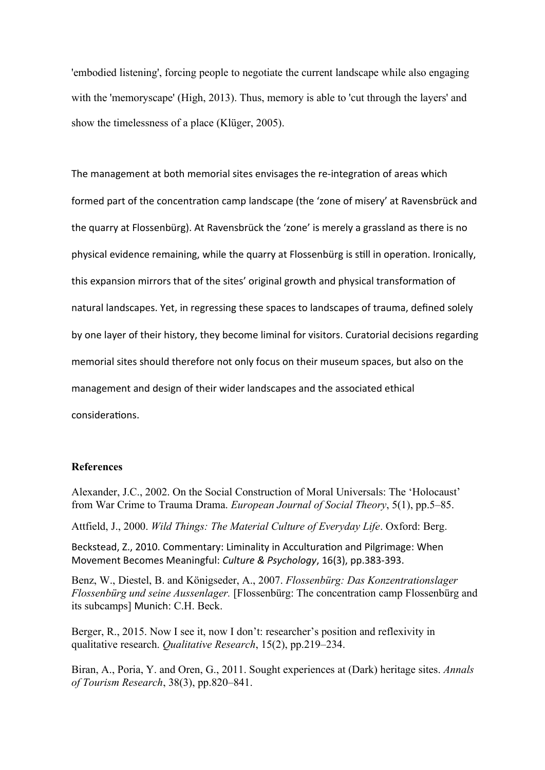'embodied listening', forcing people to negotiate the current landscape while also engaging with the 'memoryscape' (High, 2013). Thus, memory is able to 'cut through the layers' and show the timelessness of a place (Klüger, 2005).

The management at both memorial sites envisages the re-integration of areas which formed part of the concentration camp landscape (the 'zone of misery' at Ravensbrück and the quarry at Flossenbürg). At Ravensbrück the 'zone' is merely a grassland as there is no physical evidence remaining, while the quarry at Flossenbürg is still in operation. Ironically, this expansion mirrors that of the sites' original growth and physical transformation of natural landscapes. Yet, in regressing these spaces to landscapes of trauma, defined solely by one layer of their history, they become liminal for visitors. Curatorial decisions regarding memorial sites should therefore not only focus on their museum spaces, but also on the management and design of their wider landscapes and the associated ethical considerations.

### **References**

Alexander, J.C., 2002. On the Social Construction of Moral Universals: The 'Holocaust' from War Crime to Trauma Drama. *European Journal of Social Theory*, 5(1), pp.5–85.

Attfield, J., 2000. *Wild Things: The Material Culture of Everyday Life*. Oxford: Berg.

Beckstead, Z., 2010. Commentary: Liminality in Acculturation and Pilgrimage: When Movement Becomes Meaningful: *Culture & Psychology*, 16(3), pp.383-393.

Benz, W., Diestel, B. and Königseder, A., 2007. *Flossenbürg: Das Konzentrationslager Flossenbürg und seine Aussenlager.* [Flossenbürg: The concentration camp Flossenbürg and its subcamps] Munich: C.H. Beck.

Berger, R., 2015. Now I see it, now I don't: researcher's position and reflexivity in qualitative research. *Qualitative Research*, 15(2), pp.219–234.

Biran, A., Poria, Y. and Oren, G., 2011. Sought experiences at (Dark) heritage sites. *Annals of Tourism Research*, 38(3), pp.820–841.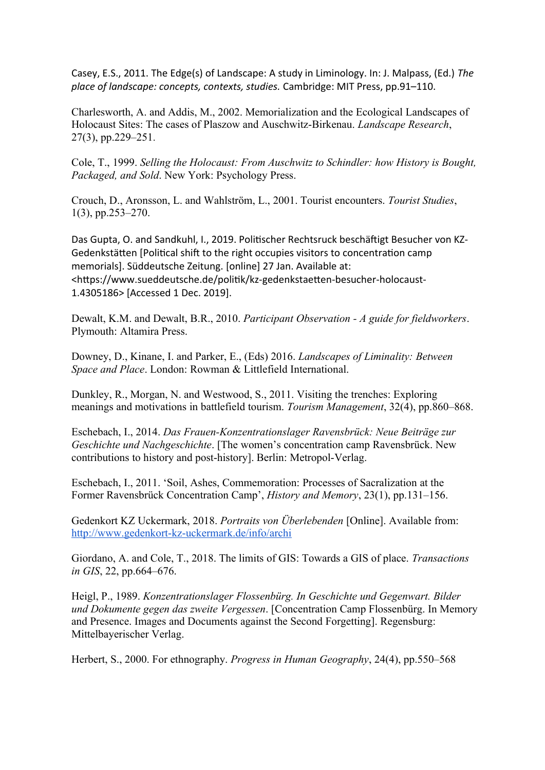Casey, E.S., 2011. The Edge(s) of Landscape: A study in Liminology. In: J. Malpass, (Ed.) *The place of landscape: concepts, contexts, studies.* Cambridge: MIT Press, pp.91–110.

Charlesworth, A. and Addis, M., 2002. Memorialization and the Ecological Landscapes of Holocaust Sites: The cases of Plaszow and Auschwitz-Birkenau. *Landscape Research*, 27(3), pp.229–251.

Cole, T., 1999. *Selling the Holocaust: From Auschwitz to Schindler: how History is Bought, Packaged, and Sold*. New York: Psychology Press.

Crouch, D., Aronsson, L. and Wahlström, L., 2001. Tourist encounters. *Tourist Studies*, 1(3), pp.253–270.

Das Gupta, O. and Sandkuhl, I., 2019. Politischer Rechtsruck beschäftigt Besucher von KZ-Gedenkstätten [Political shift to the right occupies visitors to concentration camp memorials]. Süddeutsche Zeitung. [online] 27 Jan. Available at: <https://www.sueddeutsche.de/politik/kz-gedenkstaetten-besucher-holocaust-1.4305186> [Accessed 1 Dec. 2019].

Dewalt, K.M. and Dewalt, B.R., 2010. *Participant Observation - A guide for fieldworkers*. Plymouth: Altamira Press.

Downey, D., Kinane, I. and Parker, E., (Eds) 2016. *Landscapes of Liminality: Between Space and Place*. London: Rowman & Littlefield International.

Dunkley, R., Morgan, N. and Westwood, S., 2011. Visiting the trenches: Exploring meanings and motivations in battlefield tourism. *Tourism Management*, 32(4), pp.860–868.

Eschebach, I., 2014. *Das Frauen-Konzentrationslager Ravensbrück: Neue Beiträge zur Geschichte und Nachgeschichte*. [The women's concentration camp Ravensbrück. New contributions to history and post-history]. Berlin: Metropol-Verlag.

Eschebach, I., 2011. 'Soil, Ashes, Commemoration: Processes of Sacralization at the Former Ravensbrück Concentration Camp', *History and Memory*, 23(1), pp.131–156.

Gedenkort KZ Uckermark, 2018. *Portraits von Überlebenden* [Online]. Available from: <http://www.gedenkort-kz-uckermark.de/info/archi>

Giordano, A. and Cole, T., 2018. The limits of GIS: Towards a GIS of place. *Transactions in GIS*, 22, pp.664–676.

Heigl, P., 1989. *Konzentrationslager Flossenbürg. In Geschichte und Gegenwart. Bilder und Dokumente gegen das zweite Vergessen*. [Concentration Camp Flossenbürg. In Memory and Presence. Images and Documents against the Second Forgetting]. Regensburg: Mittelbayerischer Verlag.

Herbert, S., 2000. For ethnography. *Progress in Human Geography*, 24(4), pp.550–568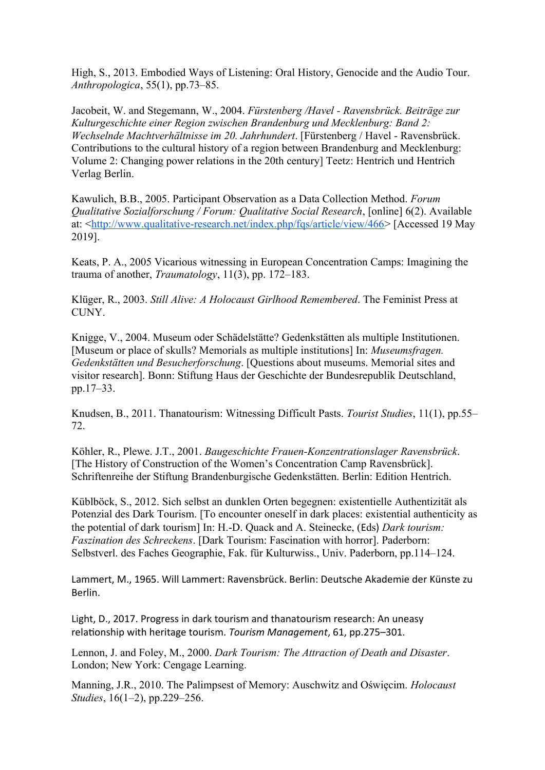High, S., 2013. Embodied Ways of Listening: Oral History, Genocide and the Audio Tour. *Anthropologica*, 55(1), pp.73–85.

Jacobeit, W. and Stegemann, W., 2004. *Fürstenberg /Havel - Ravensbrück. Beiträge zur Kulturgeschichte einer Region zwischen Brandenburg und Mecklenburg: Band 2: Wechselnde Machtverhältnisse im 20. Jahrhundert*. [Fürstenberg / Havel - Ravensbrück. Contributions to the cultural history of a region between Brandenburg and Mecklenburg: Volume 2: Changing power relations in the 20th century] Teetz: Hentrich und Hentrich Verlag Berlin.

Kawulich, B.B., 2005. Participant Observation as a Data Collection Method. *Forum Qualitative Sozialforschung / Forum: Qualitative Social Research*, [online] 6(2). Available at: [<http://www.qualitative-research.net/index.php/fqs/article/view/466>](http://www.qualitative-research.net/index.php/fqs/article/view/466) [Accessed 19 May 2019].

Keats, P. A., 2005 Vicarious witnessing in European Concentration Camps: Imagining the trauma of another, *Traumatology*, 11(3), pp. 172–183.

Klüger, R., 2003. *Still Alive: A Holocaust Girlhood Remembered*. The Feminist Press at CUNY.

Knigge, V., 2004. Museum oder Schädelstätte? Gedenkstätten als multiple Institutionen. [Museum or place of skulls? Memorials as multiple institutions] In: *Museumsfragen. Gedenkstätten und Besucherforschung*. [Questions about museums. Memorial sites and visitor research]. Bonn: Stiftung Haus der Geschichte der Bundesrepublik Deutschland, pp.17–33.

Knudsen, B., 2011. Thanatourism: Witnessing Difficult Pasts. *Tourist Studies*, 11(1), pp.55– 72.

Köhler, R., Plewe. J.T., 2001. *Baugeschichte Frauen-Konzentrationslager Ravensbrück*. [The History of Construction of the Women's Concentration Camp Ravensbrück]. Schriftenreihe der Stiftung Brandenburgische Gedenkstätten. Berlin: Edition Hentrich.

Küblböck, S., 2012. Sich selbst an dunklen Orten begegnen: existentielle Authentizität als Potenzial des Dark Tourism. [To encounter oneself in dark places: existential authenticity as the potential of dark tourism] In: H.-D. Quack and A. Steinecke, (Eds) *Dark tourism: Faszination des Schreckens*. [Dark Tourism: Fascination with horror]. Paderborn: Selbstverl. des Faches Geographie, Fak. für Kulturwiss., Univ. Paderborn, pp.114–124.

Lammert, M., 1965. Will Lammert: Ravensbrück. Berlin: Deutsche Akademie der Künste zu Berlin.

Light, D., 2017. Progress in dark tourism and thanatourism research: An uneasy relationship with heritage tourism. *Tourism Management*, 61, pp.275–301.

Lennon, J. and Foley, M., 2000. *Dark Tourism: The Attraction of Death and Disaster*. London; New York: Cengage Learning.

Manning, J.R., 2010. The Palimpsest of Memory: Auschwitz and Oświęcim. *Holocaust Studies*, 16(1–2), pp.229–256.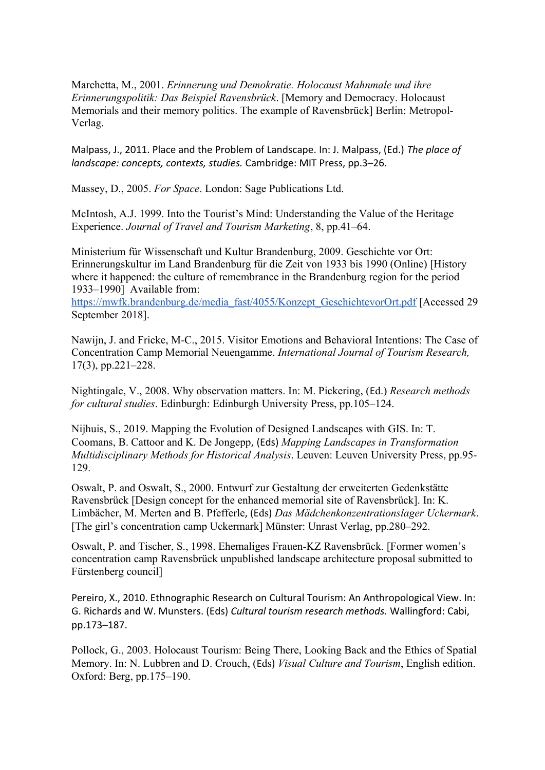Marchetta, M., 2001. *Erinnerung und Demokratie. Holocaust Mahnmale und ihre Erinnerungspolitik: Das Beispiel Ravensbrück*. [Memory and Democracy. Holocaust Memorials and their memory politics. The example of Ravensbrück] Berlin: Metropol-Verlag.

Malpass, J., 2011. Place and the Problem of Landscape. In: J. Malpass, (Ed.) *The place of landscape: concepts, contexts, studies.* Cambridge: MIT Press, pp.3–26.

Massey, D., 2005. *For Space*. London: Sage Publications Ltd.

McIntosh, A.J. 1999. Into the Tourist's Mind: Understanding the Value of the Heritage Experience. *Journal of Travel and Tourism Marketing*, 8, pp.41–64.

Ministerium für Wissenschaft und Kultur Brandenburg, 2009. Geschichte vor Ort: Erinnerungskultur im Land Brandenburg für die Zeit von 1933 bis 1990 (Online) [History where it happened: the culture of remembrance in the Brandenburg region for the period 1933–1990] Available from:

[https://mwfk.brandenburg.de/media\\_fast/4055/Konzept\\_GeschichtevorOrt.pdf](https://mwfk.brandenburg.de/media_fast/4055/Konzept_GeschichtevorOrt.pdf) [Accessed 29 September 2018].

Nawijn, J. and Fricke, M-C., 2015. Visitor Emotions and Behavioral Intentions: The Case of Concentration Camp Memorial Neuengamme. *International Journal of Tourism Research,* 17(3), pp.221–228.

Nightingale, V., 2008. Why observation matters. In: M. Pickering, (Ed.) *Research methods for cultural studies*. Edinburgh: Edinburgh University Press, pp.105–124.

Nijhuis, S., 2019. Mapping the Evolution of Designed Landscapes with GIS. In: T. Coomans, B. Cattoor and K. De Jongepp, (Eds) *Mapping Landscapes in Transformation Multidisciplinary Methods for Historical Analysis*. Leuven: Leuven University Press, pp.95- 129.

Oswalt, P. and Oswalt, S., 2000. Entwurf zur Gestaltung der erweiterten Gedenkstätte Ravensbrück [Design concept for the enhanced memorial site of Ravensbrück]. In: K. Limbächer, M. Merten and B. Pfefferle, (Eds) *Das Mädchenkonzentrationslager Uckermark*. [The girl's concentration camp Uckermark] Münster: Unrast Verlag, pp.280–292.

Oswalt, P. and Tischer, S., 1998. Ehemaliges Frauen-KZ Ravensbrück. [Former women's concentration camp Ravensbrück unpublished landscape architecture proposal submitted to Fürstenberg council]

Pereiro, X., 2010. Ethnographic Research on Cultural Tourism: An Anthropological View. In: G. Richards and W. Munsters. (Eds) *Cultural tourism research methods.* Wallingford: Cabi, pp.173–187.

Pollock, G., 2003. Holocaust Tourism: Being There, Looking Back and the Ethics of Spatial Memory. In: N. Lubbren and D. Crouch, (Eds) *Visual Culture and Tourism*, English edition. Oxford: Berg, pp.175–190.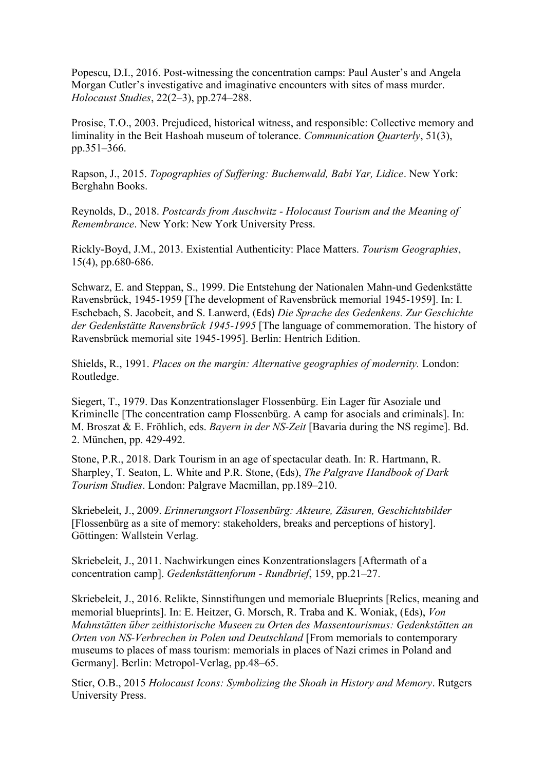Popescu, D.I., 2016. Post-witnessing the concentration camps: Paul Auster's and Angela Morgan Cutler's investigative and imaginative encounters with sites of mass murder. *Holocaust Studies*, 22(2–3), pp.274–288.

Prosise, T.O., 2003. Prejudiced, historical witness, and responsible: Collective memory and liminality in the Beit Hashoah museum of tolerance. *Communication Quarterly*, 51(3), pp.351–366.

Rapson, J., 2015. *Topographies of Suffering: Buchenwald, Babi Yar, Lidice*. New York: Berghahn Books.

Reynolds, D., 2018. *Postcards from Auschwitz - Holocaust Tourism and the Meaning of Remembrance*. New York: New York University Press.

Rickly-Boyd, J.M., 2013. Existential Authenticity: Place Matters. *Tourism Geographies*, 15(4), pp.680-686.

Schwarz, E. and Steppan, S., 1999. Die Entstehung der Nationalen Mahn-und Gedenkstätte Ravensbrück, 1945-1959 [The development of Ravensbrück memorial 1945-1959]. In: I. Eschebach, S. Jacobeit, and S. Lanwerd, (Eds) *Die Sprache des Gedenkens. Zur Geschichte der Gedenkstätte Ravensbrück 1945-1995* [The language of commemoration. The history of Ravensbrück memorial site 1945-1995]. Berlin: Hentrich Edition.

Shields, R., 1991. *Places on the margin: Alternative geographies of modernity.* London: Routledge.

Siegert, T., 1979. Das Konzentrationslager Flossenbürg. Ein Lager für Asoziale und Kriminelle [The concentration camp Flossenbürg. A camp for asocials and criminals]. In: M. Broszat & E. Fröhlich, eds. *Bayern in der NS-Zeit* [Bavaria during the NS regime]. Bd. 2. München, pp. 429-492.

Stone, P.R., 2018. Dark Tourism in an age of spectacular death. In: R. Hartmann, R. Sharpley, T. Seaton, L. White and P.R. Stone, (Eds), *The Palgrave Handbook of Dark Tourism Studies*. London: Palgrave Macmillan, pp.189–210.

Skriebeleit, J., 2009. *Erinnerungsort Flossenbürg: Akteure, Zäsuren, Geschichtsbilder*  [Flossenbürg as a site of memory: stakeholders, breaks and perceptions of history]. Göttingen: Wallstein Verlag.

Skriebeleit, J., 2011. Nachwirkungen eines Konzentrationslagers [Aftermath of a concentration camp]. *Gedenkstättenforum - Rundbrief*, 159, pp.21–27.

Skriebeleit, J., 2016. Relikte, Sinnstiftungen und memoriale Blueprints [Relics, meaning and memorial blueprints]. In: E. Heitzer, G. Morsch, R. Traba and K. Woniak, (Eds), *Von Mahnstätten über zeithistorische Museen zu Orten des Massentourismus: Gedenkstätten an Orten von NS-Verbrechen in Polen und Deutschland* [From memorials to contemporary museums to places of mass tourism: memorials in places of Nazi crimes in Poland and Germany]. Berlin: Metropol-Verlag, pp.48–65.

Stier, O.B., 2015 *Holocaust Icons: Symbolizing the Shoah in History and Memory*. Rutgers University Press.